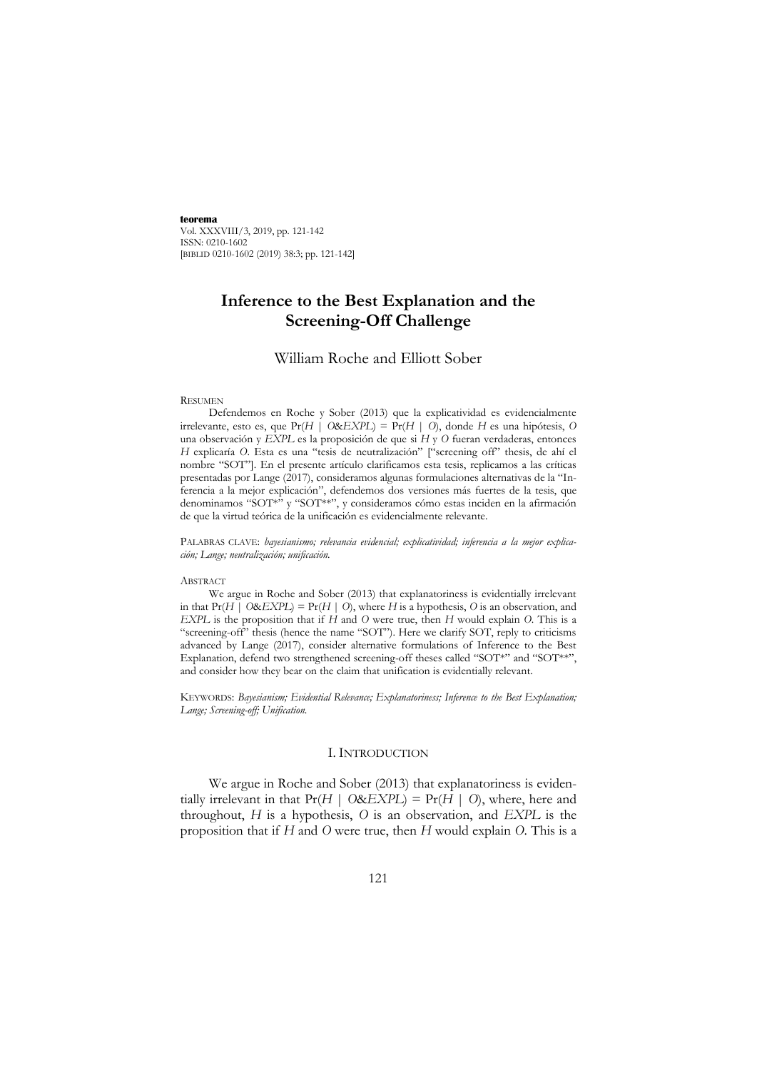**teorema** Vol. XXXVIII/3, 2019, pp. 121-142 ISSN: 0210-1602 [BIBLID 0210-1602 (2019) 38:3; pp. 121-142]

# **Inference to the Best Explanation and the Screening-Off Challenge**

# William Roche and Elliott Sober

#### RESUMEN

Defendemos en Roche y Sober (2013) que la explicatividad es evidencialmente  $i$ rrelevante, esto es, que  $Pr(H | O\&EXPL) = Pr(H | O)$ , donde *H* es una hipótesis, *O* una observación y *EXPL* es la proposición de que si *H* y *O* fueran verdaderas, entonces *H* explicaría *O*. Esta es una "tesis de neutralización" ["screening off" thesis, de ahí el nombre "SOT"]. En el presente artículo clarificamos esta tesis, replicamos a las críticas presentadas por Lange (2017), consideramos algunas formulaciones alternativas de la "Inferencia a la mejor explicación", defendemos dos versiones más fuertes de la tesis, que denominamos "SOT\*" y "SOT\*\*", y consideramos cómo estas inciden en la afirmación de que la virtud teórica de la unificación es evidencialmente relevante.

PALABRAS CLAVE: *bayesianismo; relevancia evidencial; explicatividad; inferencia a la mejor explicación; Lange; neutralización; unificación.*

#### ABSTRACT

We argue in Roche and Sober (2013) that explanatoriness is evidentially irrelevant in that  $Pr(H | O\&EXPL) = Pr(H | O)$ , where *H* is a hypothesis, *O* is an observation, and *EXPL* is the proposition that if *H* and *O* were true, then *H* would explain *O*. This is a "screening-off" thesis (hence the name "SOT"). Here we clarify SOT, reply to criticisms advanced by Lange (2017), consider alternative formulations of Inference to the Best Explanation, defend two strengthened screening-off theses called "SOT\*" and "SOT\*\*", and consider how they bear on the claim that unification is evidentially relevant.

KEYWORDS: *Bayesianism; Evidential Relevance; Explanatoriness; Inference to the Best Explanation; Lange; Screening-off; Unification.*

### I. INTRODUCTION

We argue in Roche and Sober (2013) that explanatoriness is evidentially irrelevant in that  $Pr(H | O\& EXPL) = Pr(H | O)$ , where, here and throughout, *H* is a hypothesis, *O* is an observation, and *EXPL* is the proposition that if *H* and *O* were true, then *H* would explain *O*. This is a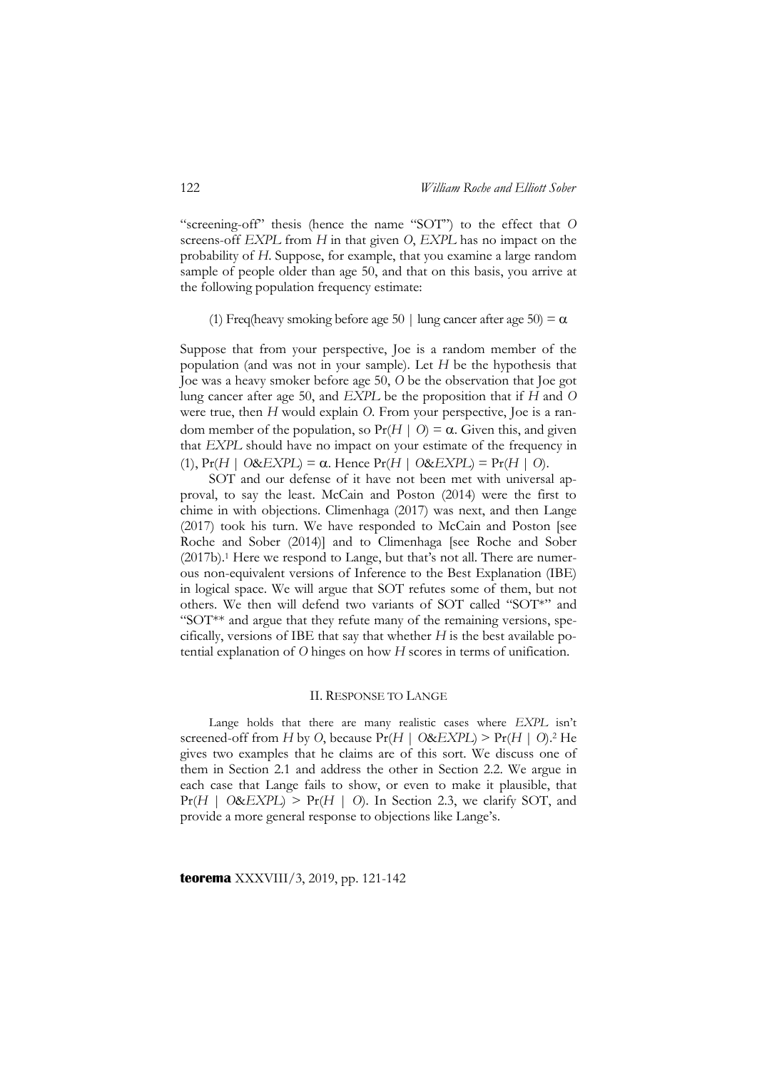"screening-off" thesis (hence the name "SOT") to the effect that *O* screens-off *EXPL* from *H* in that given *O*, *EXPL* has no impact on the probability of *H*. Suppose, for example, that you examine a large random sample of people older than age 50, and that on this basis, you arrive at the following population frequency estimate:

(1) Freq(heavy smoking before age 50 | lung cancer after age 50) =  $\alpha$ 

Suppose that from your perspective, Joe is a random member of the population (and was not in your sample). Let *H* be the hypothesis that Joe was a heavy smoker before age 50, *O* be the observation that Joe got lung cancer after age 50, and *EXPL* be the proposition that if *H* and *O* were true, then *H* would explain *O*. From your perspective, Joe is a random member of the population, so  $Pr(H | O) = \alpha$ . Given this, and given that *EXPL* should have no impact on your estimate of the frequency in  $(1)$ ,  $Pr(H | O\&EXPL) = \alpha$ . Hence  $Pr(H | O\&EXPL) = Pr(H | O)$ .

SOT and our defense of it have not been met with universal approval, to say the least. McCain and Poston (2014) were the first to chime in with objections. Climenhaga (2017) was next, and then Lange (2017) took his turn. We have responded to McCain and Poston [see Roche and Sober (2014)] and to Climenhaga [see Roche and Sober (2017b).<sup>1</sup> Here we respond to Lange, but that's not all. There are numerous non-equivalent versions of Inference to the Best Explanation (IBE) in logical space. We will argue that SOT refutes some of them, but not others. We then will defend two variants of SOT called "SOT\*" and "SOT\*\* and argue that they refute many of the remaining versions, specifically, versions of IBE that say that whether *H* is the best available potential explanation of *O* hinges on how *H* scores in terms of unification.

### II. RESPONSE TO LANGE

Lange holds that there are many realistic cases where *EXPL* isn't screened-off from *H* by *O*, because  $Pr(H | O\&EXPL)$  >  $Pr(H | O)$ .<sup>2</sup> He gives two examples that he claims are of this sort. We discuss one of them in Section 2.1 and address the other in Section 2.2. We argue in each case that Lange fails to show, or even to make it plausible, that  $Pr(H | O\&EXPL) > Pr(H | O)$ . In Section 2.3, we clarify SOT, and provide a more general response to objections like Lange's.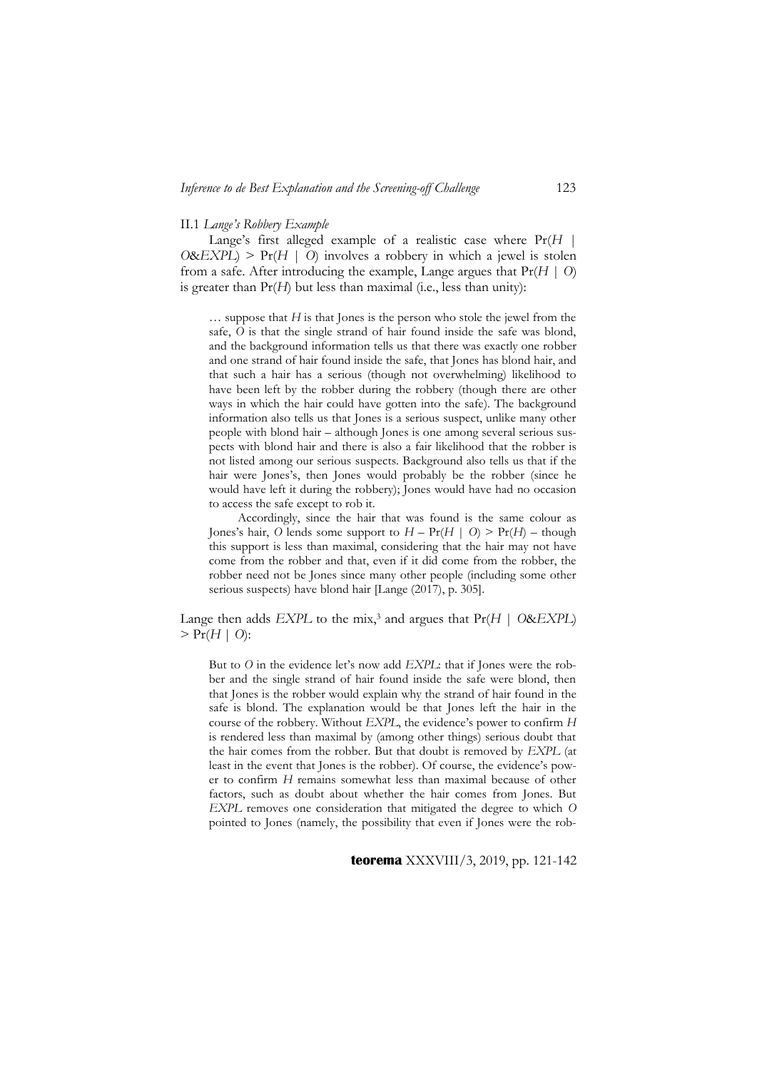#### II.1 *Lange's Robbery Example*

Lange's first alleged example of a realistic case where Pr(*H* |  $O\&EXPL$ ) >  $Pr(H | O)$  involves a robbery in which a jewel is stolen from a safe. After introducing the example, Lange argues that Pr(*H* | *O*) is greater than Pr(*H*) but less than maximal (i.e., less than unity):

… suppose that *H* is that Jones is the person who stole the jewel from the safe, *O* is that the single strand of hair found inside the safe was blond, and the background information tells us that there was exactly one robber and one strand of hair found inside the safe, that Jones has blond hair, and that such a hair has a serious (though not overwhelming) likelihood to have been left by the robber during the robbery (though there are other ways in which the hair could have gotten into the safe). The background information also tells us that Jones is a serious suspect, unlike many other people with blond hair – although Jones is one among several serious suspects with blond hair and there is also a fair likelihood that the robber is not listed among our serious suspects. Background also tells us that if the hair were Jones's, then Jones would probably be the robber (since he would have left it during the robbery); Jones would have had no occasion to access the safe except to rob it.

Accordingly, since the hair that was found is the same colour as Jones's hair, *O* lends some support to  $H - Pr(H | O)$  >  $Pr(H)$  – though this support is less than maximal, considering that the hair may not have come from the robber and that, even if it did come from the robber, the robber need not be Jones since many other people (including some other serious suspects) have blond hair [Lange (2017), p. 305].

Lange then adds *EXPL* to the mix,<sup>3</sup> and argues that  $Pr(H | O\&EXPL)$  $> Pr(H | O):$ 

But to *O* in the evidence let's now add *EXPL*: that if Jones were the robber and the single strand of hair found inside the safe were blond, then that Jones is the robber would explain why the strand of hair found in the safe is blond. The explanation would be that Jones left the hair in the course of the robbery. Without *EXPL*, the evidence's power to confirm *H* is rendered less than maximal by (among other things) serious doubt that the hair comes from the robber. But that doubt is removed by *EXPL* (at least in the event that Jones is the robber). Of course, the evidence's power to confirm *H* remains somewhat less than maximal because of other factors, such as doubt about whether the hair comes from Jones. But *EXPL* removes one consideration that mitigated the degree to which *O* pointed to Jones (namely, the possibility that even if Jones were the rob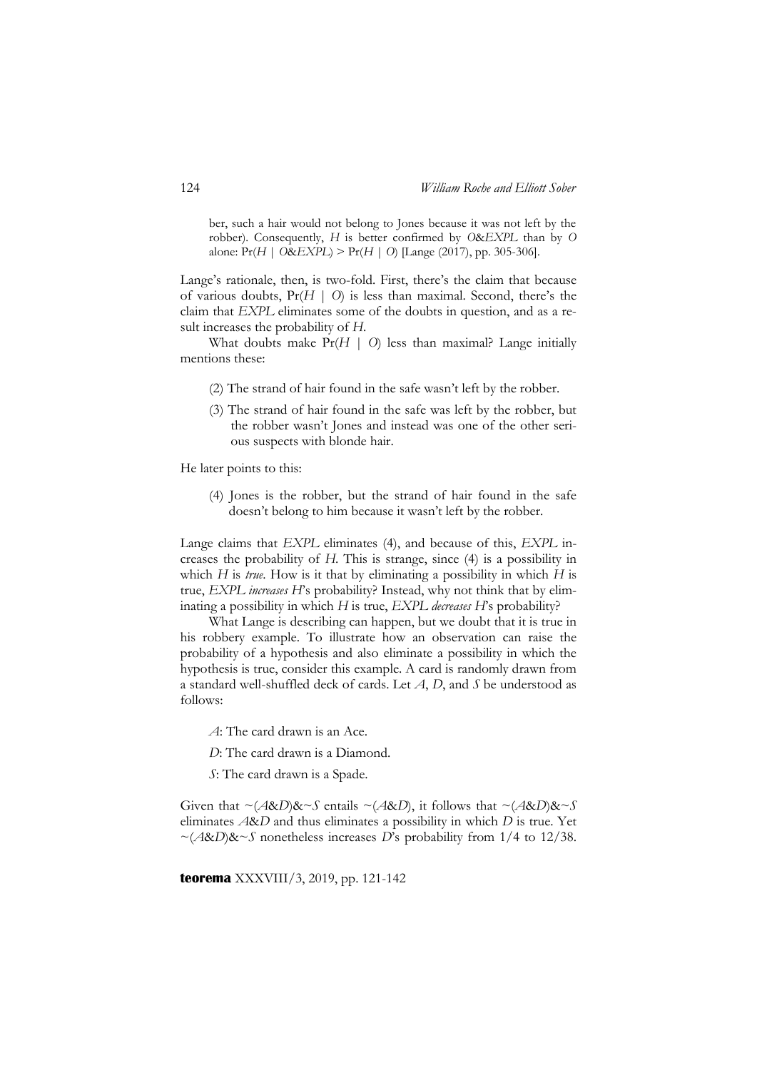ber, such a hair would not belong to Jones because it was not left by the robber). Consequently, *H* is better confirmed by *O*&*EXPL* than by *O* alone:  $Pr(H | O\&EXPL) > Pr(H | O)$  [Lange (2017), pp. 305-306].

Lange's rationale, then, is two-fold. First, there's the claim that because of various doubts, Pr(*H* | *O*) is less than maximal. Second, there's the claim that *EXPL* eliminates some of the doubts in question, and as a result increases the probability of *H*.

What doubts make  $Pr(H | O)$  less than maximal? Lange initially mentions these:

- (2) The strand of hair found in the safe wasn't left by the robber.
- (3) The strand of hair found in the safe was left by the robber, but the robber wasn't Jones and instead was one of the other serious suspects with blonde hair.

He later points to this:

(4) Jones is the robber, but the strand of hair found in the safe doesn't belong to him because it wasn't left by the robber.

Lange claims that *EXPL* eliminates (4), and because of this, *EXPL* increases the probability of *H*. This is strange, since (4) is a possibility in which *H* is *true*. How is it that by eliminating a possibility in which *H* is true, *EXPL increases H*'s probability? Instead, why not think that by eliminating a possibility in which *H* is true, *EXPL decreases H*'s probability?

What Lange is describing can happen, but we doubt that it is true in his robbery example. To illustrate how an observation can raise the probability of a hypothesis and also eliminate a possibility in which the hypothesis is true, consider this example. A card is randomly drawn from a standard well-shuffled deck of cards. Let *A*, *D*, and *S* be understood as follows:

*A*: The card drawn is an Ace.

*D*: The card drawn is a Diamond.

*S*: The card drawn is a Spade.

Given that  $\sim$   $(A&D)&~S$  entails  $\sim$   $(A&D)$ , it follows that  $\sim$   $(A&D)&~S$ eliminates *A*&*D* and thus eliminates a possibility in which *D* is true. Yet ~(*A*&*D*)&~*S* nonetheless increases *D*'s probability from 1/4 to 12/38.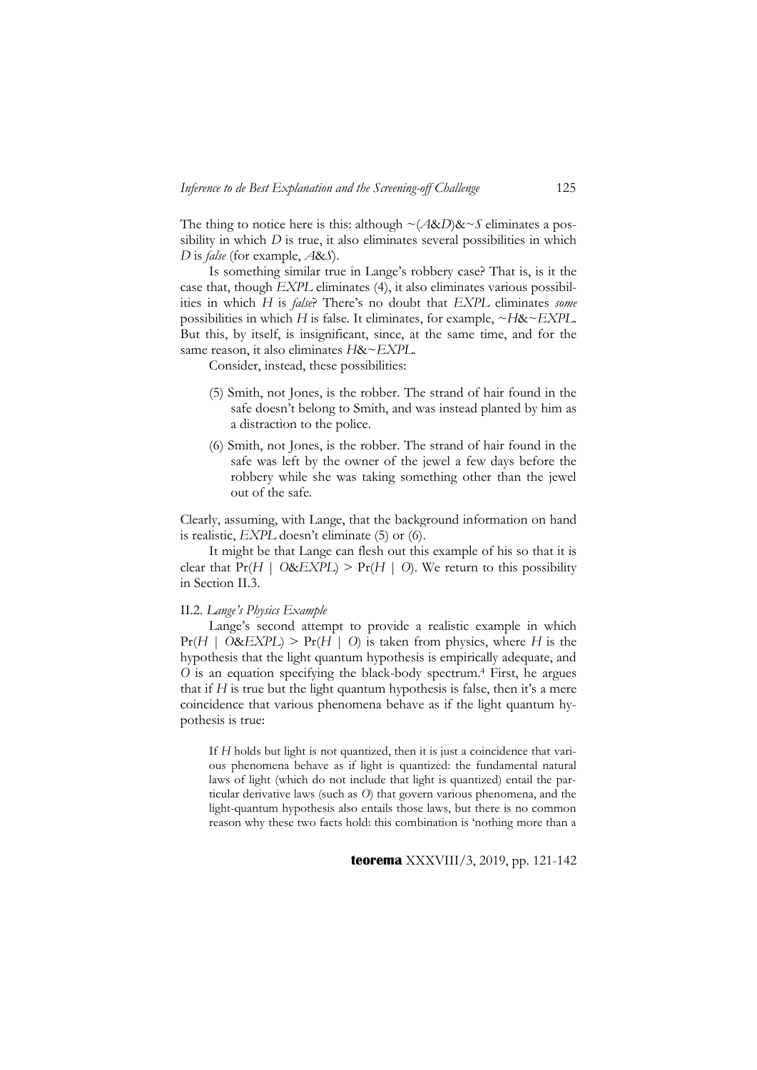The thing to notice here is this: although  $\sim$  (*A*&*D*)& $\sim$ *S* eliminates a possibility in which *D* is true, it also eliminates several possibilities in which *D* is *false* (for example, *A*&*S*).

Is something similar true in Lange's robbery case? That is, is it the case that, though *EXPL* eliminates (4), it also eliminates various possibilities in which *H* is *false*? There's no doubt that *EXPL* eliminates *some* possibilities in which *H* is false. It eliminates, for example, ~*H*&~*EXPL*. But this, by itself, is insignificant, since, at the same time, and for the same reason, it also eliminates *H*&~*EXPL*.

Consider, instead, these possibilities:

- (5) Smith, not Jones, is the robber. The strand of hair found in the safe doesn't belong to Smith, and was instead planted by him as a distraction to the police.
- (6) Smith, not Jones, is the robber. The strand of hair found in the safe was left by the owner of the jewel a few days before the robbery while she was taking something other than the jewel out of the safe.

Clearly, assuming, with Lange, that the background information on hand is realistic, *EXPL* doesn't eliminate (5) or (6).

It might be that Lange can flesh out this example of his so that it is clear that  $Pr(H | O\&EXPL) > Pr(H | O)$ . We return to this possibility in Section II.3.

## II.2. *Lange's Physics Example*

Lange's second attempt to provide a realistic example in which  $Pr(H | O\&EXPL) > Pr(H | O)$  is taken from physics, where *H* is the hypothesis that the light quantum hypothesis is empirically adequate, and *O* is an equation specifying the black-body spectrum. <sup>4</sup> First, he argues that if  $H$  is true but the light quantum hypothesis is false, then it's a mere coincidence that various phenomena behave as if the light quantum hypothesis is true:

If *H* holds but light is not quantized, then it is just a coincidence that various phenomena behave as if light is quantized: the fundamental natural laws of light (which do not include that light is quantized) entail the particular derivative laws (such as *O*) that govern various phenomena, and the light-quantum hypothesis also entails those laws, but there is no common reason why these two facts hold: this combination is 'nothing more than a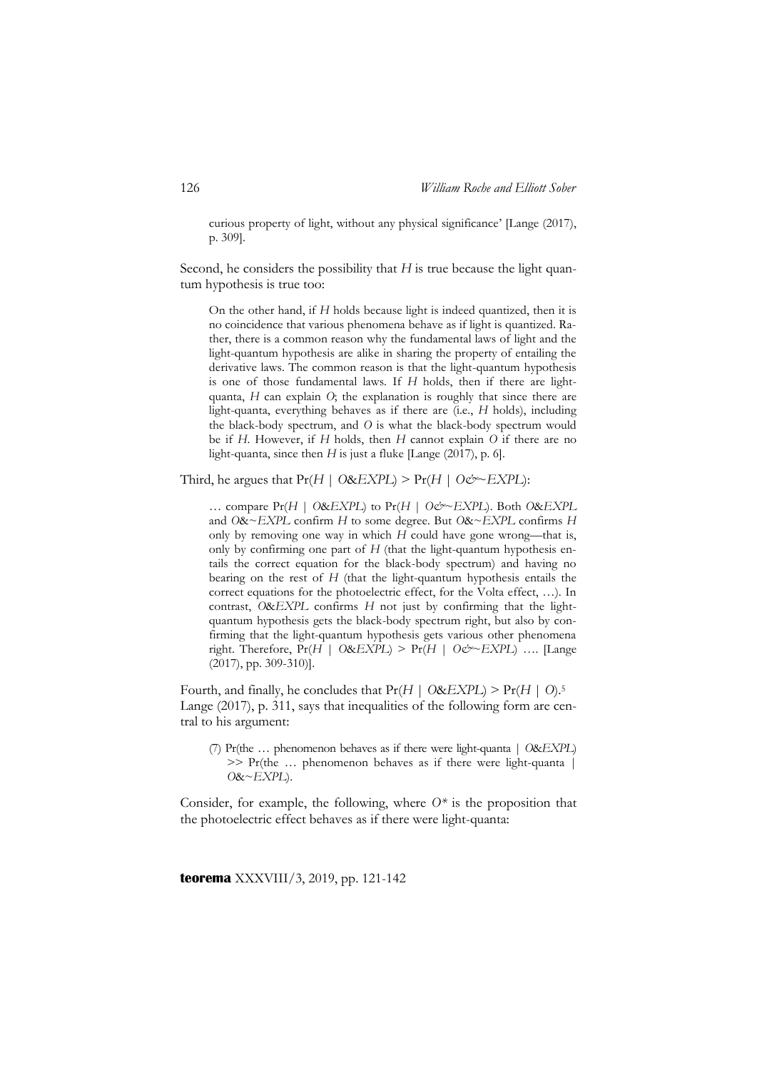curious property of light, without any physical significance' [Lange (2017), p. 309].

Second, he considers the possibility that *H* is true because the light quantum hypothesis is true too:

On the other hand, if *H* holds because light is indeed quantized, then it is no coincidence that various phenomena behave as if light is quantized. Rather, there is a common reason why the fundamental laws of light and the light-quantum hypothesis are alike in sharing the property of entailing the derivative laws. The common reason is that the light-quantum hypothesis is one of those fundamental laws. If *H* holds, then if there are lightquanta, *H* can explain *O*; the explanation is roughly that since there are light-quanta, everything behaves as if there are (i.e., *H* holds), including the black-body spectrum, and *O* is what the black-body spectrum would be if *H*. However, if *H* holds, then *H* cannot explain *O* if there are no light-quanta, since then *H* is just a fluke [Lange (2017), p. 6].

Third, he argues that  $Pr(H | O\&EXPL) > Pr(H | O\&\&EXPL)$ :

… compare Pr(*H* | *O*&*EXPL*) to Pr(*H* | *O&*~*EXPL*). Both *O*&*EXPL* and *O*&~*EXPL* confirm *H* to some degree. But *O*&~*EXPL* confirms *H* only by removing one way in which *H* could have gone wrong—that is, only by confirming one part of *H* (that the light-quantum hypothesis entails the correct equation for the black-body spectrum) and having no bearing on the rest of *H* (that the light-quantum hypothesis entails the correct equations for the photoelectric effect, for the Volta effect, …). In contrast, *O*&*EXPL* confirms *H* not just by confirming that the lightquantum hypothesis gets the black-body spectrum right, but also by confirming that the light-quantum hypothesis gets various other phenomena right. Therefore,  $Pr(H | O\&EXPL) > Pr(H | O\&\&EXPL)$  .... [Lange (2017), pp. 309-310)].

Fourth, and finally, he concludes that  $Pr(H | O\& EXPL) > Pr(H | O).5$ Lange (2017), p. 311, says that inequalities of the following form are central to his argument:

(7) Pr(the … phenomenon behaves as if there were light-quanta | *O*&*EXPL*) >> Pr(the … phenomenon behaves as if there were light-quanta | *O*&~*EXPL*).

Consider, for example, the following, where *O\** is the proposition that the photoelectric effect behaves as if there were light-quanta: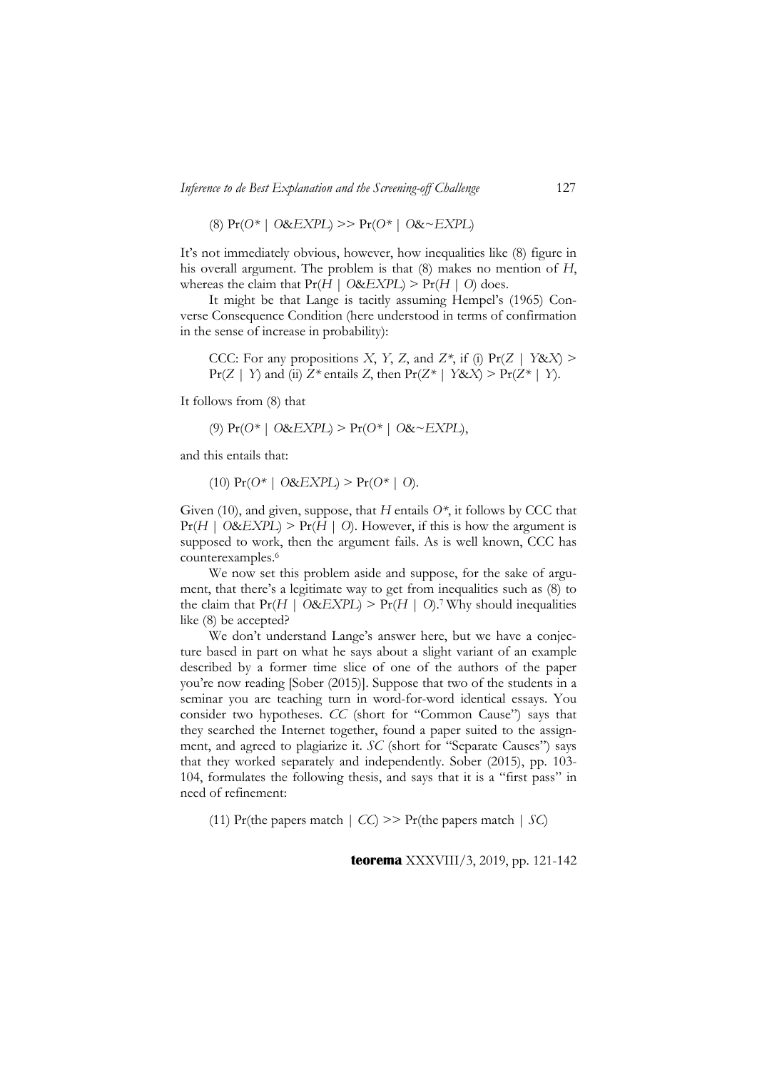*Inference to de Best Explanation and the Screening-off Challenge* 127

(8) Pr(*O\** | *O*&*EXPL*) >> Pr(*O\** | *O*&~*EXPL*)

It's not immediately obvious, however, how inequalities like (8) figure in his overall argument. The problem is that (8) makes no mention of *H*, whereas the claim that  $Pr(H | O\& EXPL) > Pr(H | O)$  does.

It might be that Lange is tacitly assuming Hempel's (1965) Converse Consequence Condition (here understood in terms of confirmation in the sense of increase in probability):

CCC: For any propositions *X*, *Y*, *Z*, and *Z*<sup>\*</sup>, if (i)  $Pr(Z \mid Y \& X)$  $Pr(Z \mid Y)$  and (ii)  $\overline{Z^*}$  entails *Z*, then  $Pr(Z^* \mid Y \& X) > Pr(Z^* \mid Y)$ .

It follows from (8) that

(9) Pr(*O\** | *O*&*EXPL*) > Pr(*O\** | *O*&~*EXPL*),

and this entails that:

 $(10)$   $Pr(O^* | O & E X PL) > Pr(O^* | O)$ .

Given (10), and given, suppose, that *H* entails *O\**, it follows by CCC that  $Pr(H | O\&EXPL) > Pr(H | O)$ . However, if this is how the argument is supposed to work, then the argument fails. As is well known, CCC has counterexamples. 6

We now set this problem aside and suppose, for the sake of argument, that there's a legitimate way to get from inequalities such as (8) to the claim that  $Pr(H | O\&EXPL) > Pr(H | O)$ .7 Why should inequalities like (8) be accepted?

We don't understand Lange's answer here, but we have a conjecture based in part on what he says about a slight variant of an example described by a former time slice of one of the authors of the paper you're now reading [Sober (2015)]. Suppose that two of the students in a seminar you are teaching turn in word-for-word identical essays. You consider two hypotheses. *CC* (short for "Common Cause") says that they searched the Internet together, found a paper suited to the assignment, and agreed to plagiarize it. *SC* (short for "Separate Causes") says that they worked separately and independently. Sober (2015), pp. 103- 104, formulates the following thesis, and says that it is a "first pass" in need of refinement:

(11) Pr(the papers match | *CC*) >> Pr(the papers match | *SC*)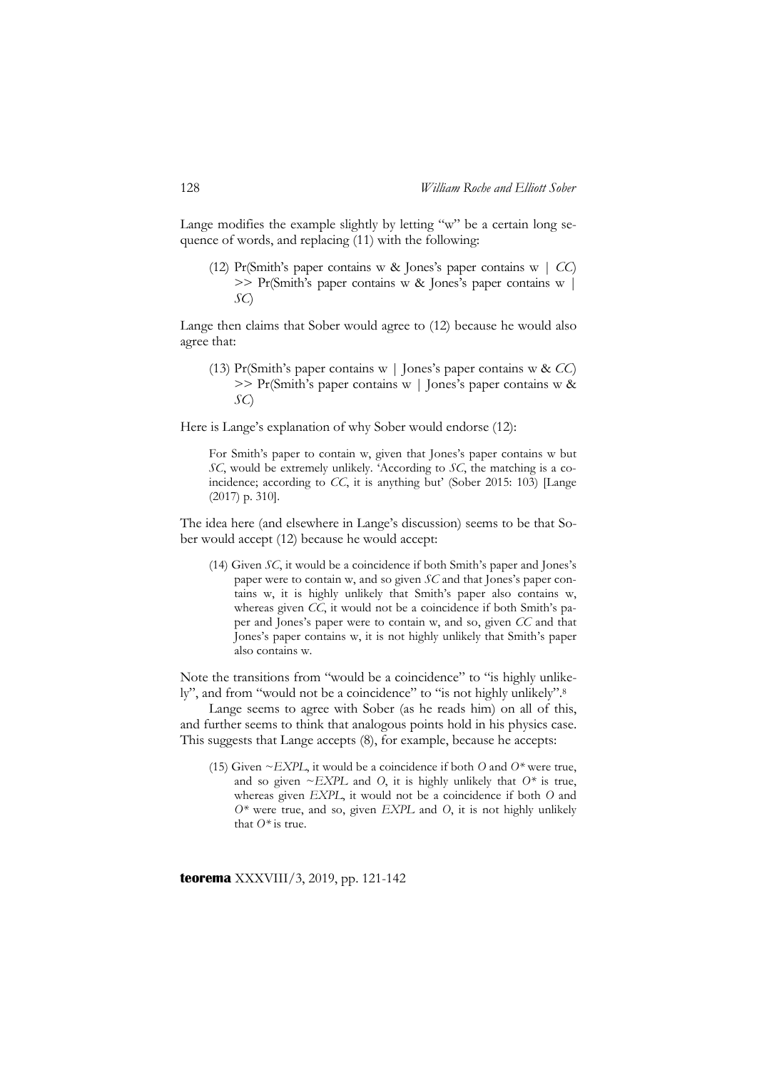Lange modifies the example slightly by letting "w" be a certain long sequence of words, and replacing (11) with the following:

(12) Pr(Smith's paper contains w & Jones's paper contains w | *CC*) >> Pr(Smith's paper contains w & Jones's paper contains w | *SC*)

Lange then claims that Sober would agree to (12) because he would also agree that:

(13) Pr(Smith's paper contains w | Jones's paper contains w & *CC*) >> Pr(Smith's paper contains w | Jones's paper contains w & *SC*)

Here is Lange's explanation of why Sober would endorse (12):

For Smith's paper to contain w, given that Jones's paper contains w but *SC*, would be extremely unlikely. 'According to *SC*, the matching is a coincidence; according to *CC*, it is anything but' (Sober 2015: 103) [Lange (2017) p. 310].

The idea here (and elsewhere in Lange's discussion) seems to be that Sober would accept (12) because he would accept:

(14) Given *SC*, it would be a coincidence if both Smith's paper and Jones's paper were to contain w, and so given *SC* and that Jones's paper contains w, it is highly unlikely that Smith's paper also contains w, whereas given *CC*, it would not be a coincidence if both Smith's paper and Jones's paper were to contain w, and so, given *CC* and that Jones's paper contains w, it is not highly unlikely that Smith's paper also contains w.

Note the transitions from "would be a coincidence" to "is highly unlikely", and from "would not be a coincidence" to "is not highly unlikely".<sup>8</sup>

Lange seems to agree with Sober (as he reads him) on all of this, and further seems to think that analogous points hold in his physics case. This suggests that Lange accepts (8), for example, because he accepts:

(15) Given ~*EXPL*, it would be a coincidence if both *O* and *O\** were true, and so given  $\neg EXPL$  and *O*, it is highly unlikely that  $O^*$  is true, whereas given *EXPL*, it would not be a coincidence if both *O* and *O\** were true, and so, given *EXPL* and *O*, it is not highly unlikely that *O\** is true.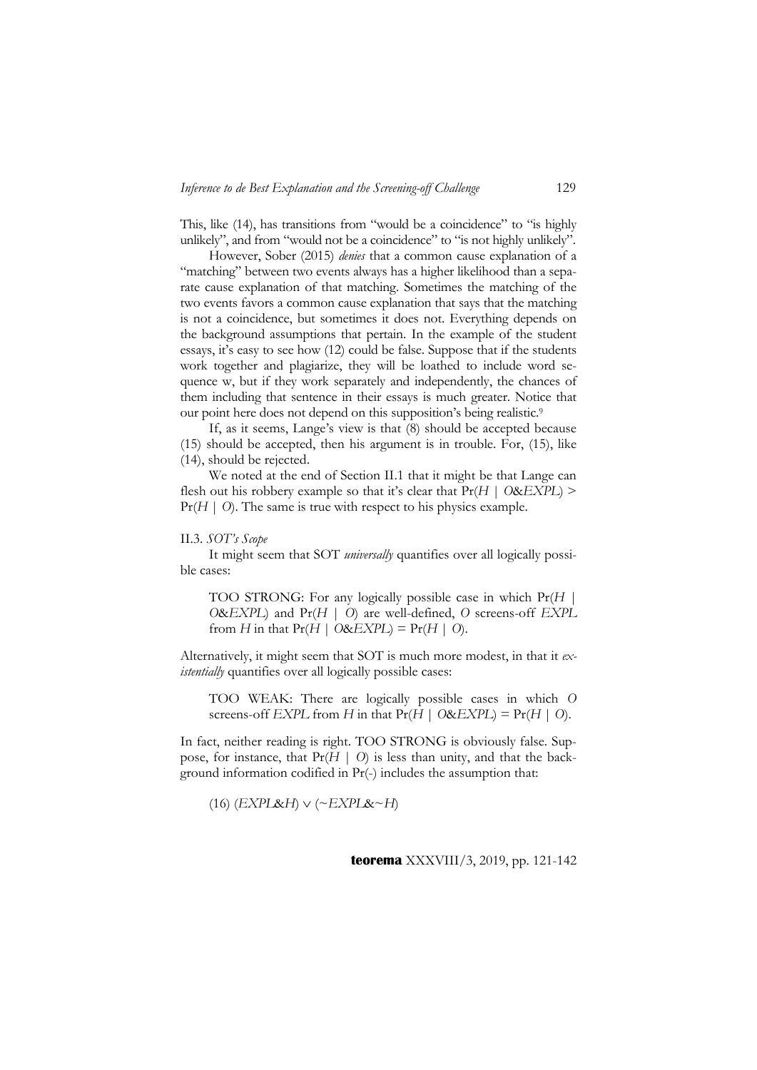This, like (14), has transitions from "would be a coincidence" to "is highly unlikely", and from "would not be a coincidence" to "is not highly unlikely".

However, Sober (2015) *denies* that a common cause explanation of a "matching" between two events always has a higher likelihood than a separate cause explanation of that matching. Sometimes the matching of the two events favors a common cause explanation that says that the matching is not a coincidence, but sometimes it does not. Everything depends on the background assumptions that pertain. In the example of the student essays, it's easy to see how (12) could be false. Suppose that if the students work together and plagiarize, they will be loathed to include word sequence w, but if they work separately and independently, the chances of them including that sentence in their essays is much greater. Notice that our point here does not depend on this supposition's being realistic.<sup>9</sup>

If, as it seems, Lange's view is that (8) should be accepted because (15) should be accepted, then his argument is in trouble. For, (15), like (14), should be rejected.

We noted at the end of Section II.1 that it might be that Lange can flesh out his robbery example so that it's clear that  $Pr(H | O\&EXPL)$ Pr(*H* | *O*). The same is true with respect to his physics example.

# II.3. *SOT's Scope*

It might seem that SOT *universally* quantifies over all logically possible cases:

TOO STRONG: For any logically possible case in which Pr(*H* | *O*&*EXPL*) and Pr(*H* | *O*) are well-defined, *O* screens-off *EXPL* from *H* in that  $Pr(H | O\& EXPL) = Pr(H | O)$ .

Alternatively, it might seem that SOT is much more modest, in that it *existentially* quantifies over all logically possible cases:

TOO WEAK: There are logically possible cases in which *O* screens-off *EXPL* from *H* in that  $Pr(H | O\& EXPL) = Pr(H | O)$ .

In fact, neither reading is right. TOO STRONG is obviously false. Suppose, for instance, that  $Pr(H | O)$  is less than unity, and that the background information codified in Pr(-) includes the assumption that:

(16) 
$$
(EXPL&H) \vee (\sim EXPL& \sim H)
$$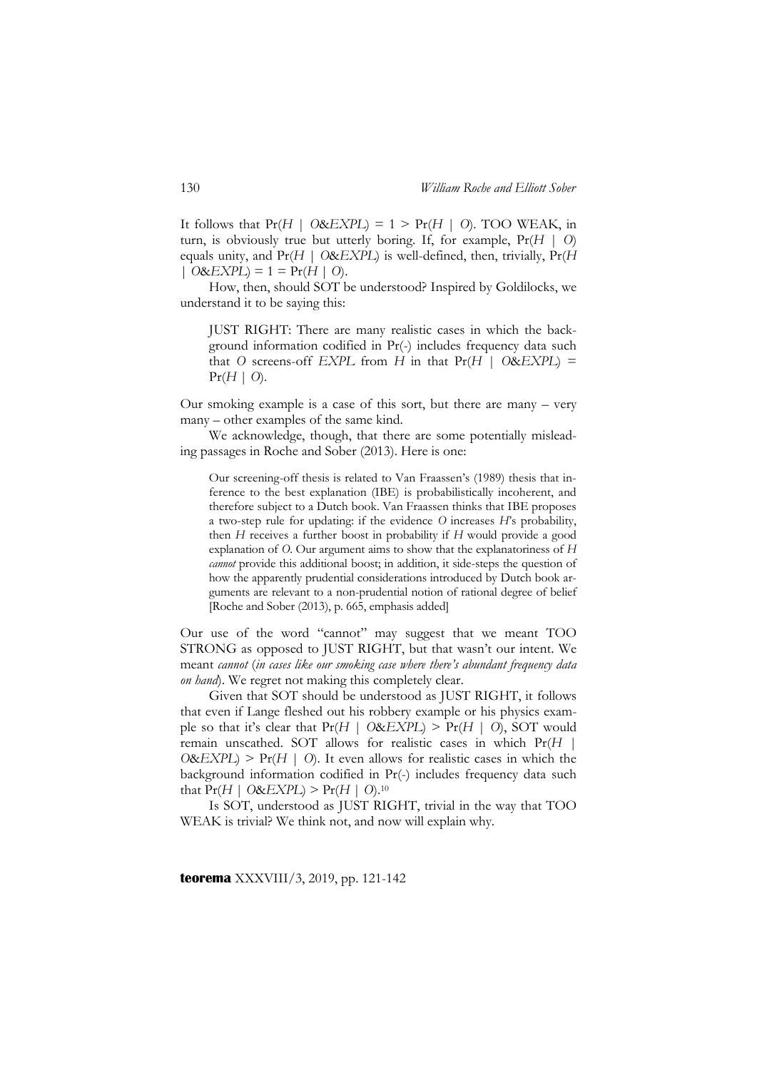It follows that  $Pr(H | O\&EXPL) = 1 > Pr(H | O)$ . TOO WEAK, in turn, is obviously true but utterly boring. If, for example,  $Pr(H | O)$ equals unity, and Pr(*H* | *O*&*EXPL*) is well-defined, then, trivially, Pr(*H*  $\log(EXPL) = 1 = Pr(H | O).$ 

How, then, should SOT be understood? Inspired by Goldilocks, we understand it to be saying this:

JUST RIGHT: There are many realistic cases in which the background information codified in Pr(-) includes frequency data such that *O* screens-off *EXPL* from *H* in that  $Pr(H | O\&EXPL)$  =  $Pr(H | O)$ .

Our smoking example is a case of this sort, but there are many – very many – other examples of the same kind.

We acknowledge, though, that there are some potentially misleading passages in Roche and Sober (2013). Here is one:

Our screening-off thesis is related to Van Fraassen's (1989) thesis that inference to the best explanation (IBE) is probabilistically incoherent, and therefore subject to a Dutch book. Van Fraassen thinks that IBE proposes a two-step rule for updating: if the evidence *O* increases *H*'s probability, then *H* receives a further boost in probability if *H* would provide a good explanation of *O*. Our argument aims to show that the explanatoriness of *H cannot* provide this additional boost; in addition, it side-steps the question of how the apparently prudential considerations introduced by Dutch book arguments are relevant to a non-prudential notion of rational degree of belief [Roche and Sober (2013), p. 665, emphasis added]

Our use of the word "cannot" may suggest that we meant TOO STRONG as opposed to JUST RIGHT, but that wasn't our intent. We meant *cannot* (*in cases like our smoking case where there's abundant frequency data on hand*). We regret not making this completely clear.

Given that SOT should be understood as JUST RIGHT, it follows that even if Lange fleshed out his robbery example or his physics example so that it's clear that  $Pr(H | O\& EXPL) > Pr(H | O)$ , SOT would remain unscathed. SOT allows for realistic cases in which Pr(*H* |  $O\&EXPL$ ) >  $Pr(H | O)$ . It even allows for realistic cases in which the background information codified in Pr(-) includes frequency data such that  $Pr(H | O\&EXPL) > Pr(H | O).^{10}$ 

Is SOT, understood as JUST RIGHT, trivial in the way that TOO WEAK is trivial? We think not, and now will explain why.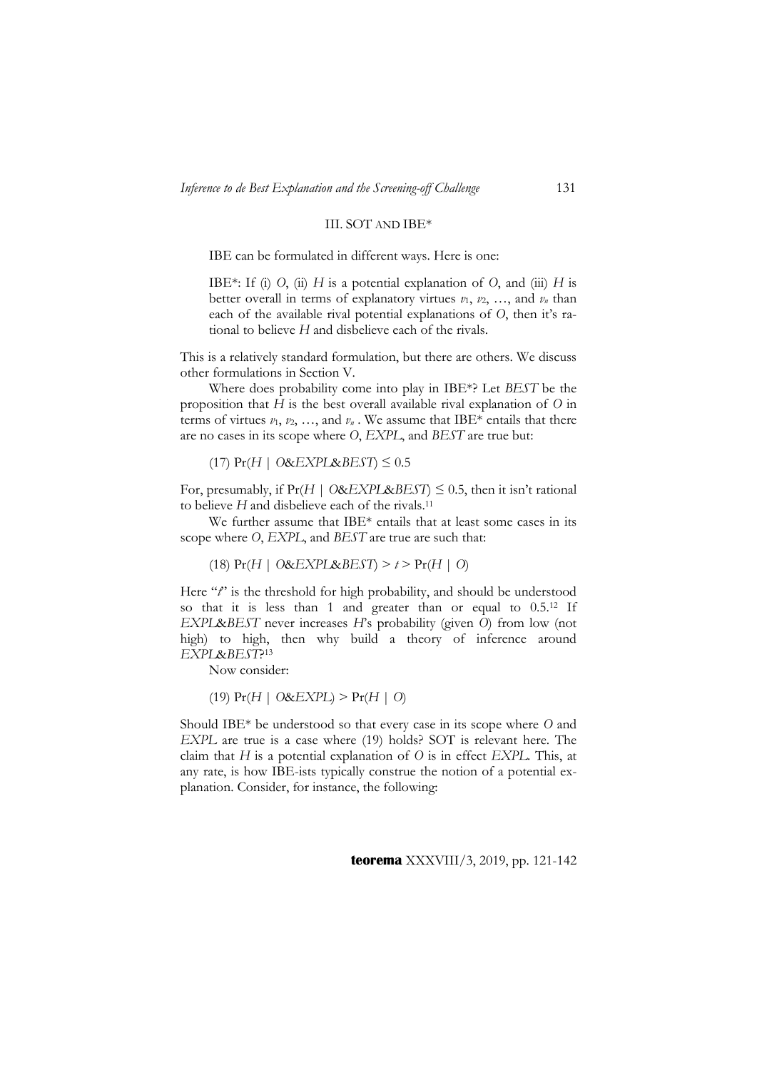# III. SOT AND IBE\*

IBE can be formulated in different ways. Here is one:

IBE\*: If (i)  $O$ , (ii)  $H$  is a potential explanation of  $O$ , and (iii)  $H$  is better overall in terms of explanatory virtues  $v_1, v_2, \ldots$ , and  $v_n$  than each of the available rival potential explanations of *O*, then it's rational to believe *H* and disbelieve each of the rivals.

This is a relatively standard formulation, but there are others. We discuss other formulations in Section V.

Where does probability come into play in IBE\*? Let *BEST* be the proposition that *H* is the best overall available rival explanation of *O* in terms of virtues  $v_1, v_2, \ldots$ , and  $v_n$ . We assume that IBE\* entails that there are no cases in its scope where *O*, *EXPL*, and *BEST* are true but:

 $(17)$   $Pr(H | O\&EXPL\&BEST) \leq 0.5$ 

For, presumably, if  $Pr(H | O\&EXPL\&BEST) \leq 0.5$ , then it isn't rational to believe *H* and disbelieve each of the rivals.<sup>11</sup>

We further assume that IBE\* entails that at least some cases in its scope where *O*, *EXPL*, and *BEST* are true are such that:

 $(18)$   $Pr(H | O\&EXPL\&BEST) > t > Pr(H | O)$ 

Here "*t*" is the threshold for high probability, and should be understood so that it is less than 1 and greater than or equal to 0.5.<sup>12</sup> If *EXPL*&*BEST* never increases *H*'s probability (given *O*) from low (not high) to high, then why build a theory of inference around *EXPL*&*BEST*? 13

Now consider:

 $(19)$   $Pr(H | O\&EXPL) > Pr(H | O)$ 

Should IBE\* be understood so that every case in its scope where *O* and *EXPL* are true is a case where (19) holds? SOT is relevant here. The claim that *H* is a potential explanation of *O* is in effect *EXPL*. This, at any rate, is how IBE-ists typically construe the notion of a potential explanation. Consider, for instance, the following: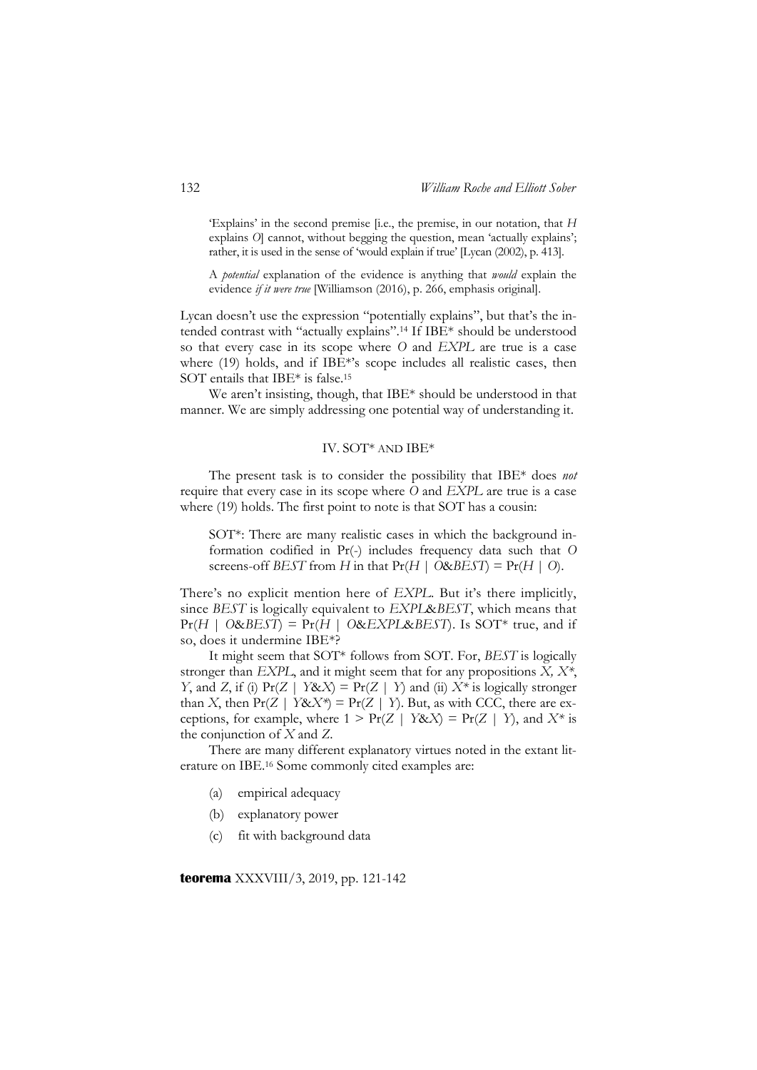'Explains' in the second premise [i.e., the premise, in our notation, that *H* explains *O*] cannot, without begging the question, mean 'actually explains'; rather, it is used in the sense of 'would explain if true' [Lycan (2002), p. 413].

A *potential* explanation of the evidence is anything that *would* explain the evidence *if it were true* [Williamson (2016), p. 266, emphasis original].

Lycan doesn't use the expression "potentially explains", but that's the intended contrast with "actually explains". <sup>14</sup> If IBE\* should be understood so that every case in its scope where *O* and *EXPL* are true is a case where (19) holds, and if IBE\*'s scope includes all realistic cases, then SOT entails that IBE\* is false. 15

We aren't insisting, though, that IBE\* should be understood in that manner. We are simply addressing one potential way of understanding it.

# IV. SOT\* AND IBE\*

The present task is to consider the possibility that IBE\* does *not* require that every case in its scope where *O* and *EXPL* are true is a case where (19) holds. The first point to note is that SOT has a cousin:

SOT\*: There are many realistic cases in which the background information codified in Pr(-) includes frequency data such that *O* screens-off *BEST* from *H* in that  $Pr(H | O\&BEST) = Pr(H | O)$ .

There's no explicit mention here of *EXPL*. But it's there implicitly, since *BEST* is logically equivalent to *EXPL*&*BEST*, which means that  $Pr(H \mid O\&BEST) = Pr(H \mid O\&EXPL\&BEST)$ . Is SOT<sup>\*</sup> true, and if so, does it undermine IBE\*?

It might seem that SOT\* follows from SOT. For, *BEST* is logically stronger than *EXPL*, and it might seem that for any propositions *X, X\**, *Y*, and *Z*, if (i)  $Pr(Z \mid Y \& X) = Pr(Z \mid Y)$  and (ii)  $X^*$  is logically stronger than *X*, then  $Pr(Z \mid Y \& X^*) = Pr(Z \mid Y)$ . But, as with CCC, there are exceptions, for example, where  $1 > Pr(Z \mid Y \& X) = Pr(Z \mid Y)$ , and  $X^*$  is the conjunction of *X* and *Z*.

There are many different explanatory virtues noted in the extant literature on IBE.<sup>16</sup> Some commonly cited examples are:

- (a) empirical adequacy
- (b) explanatory power
- (c) fit with background data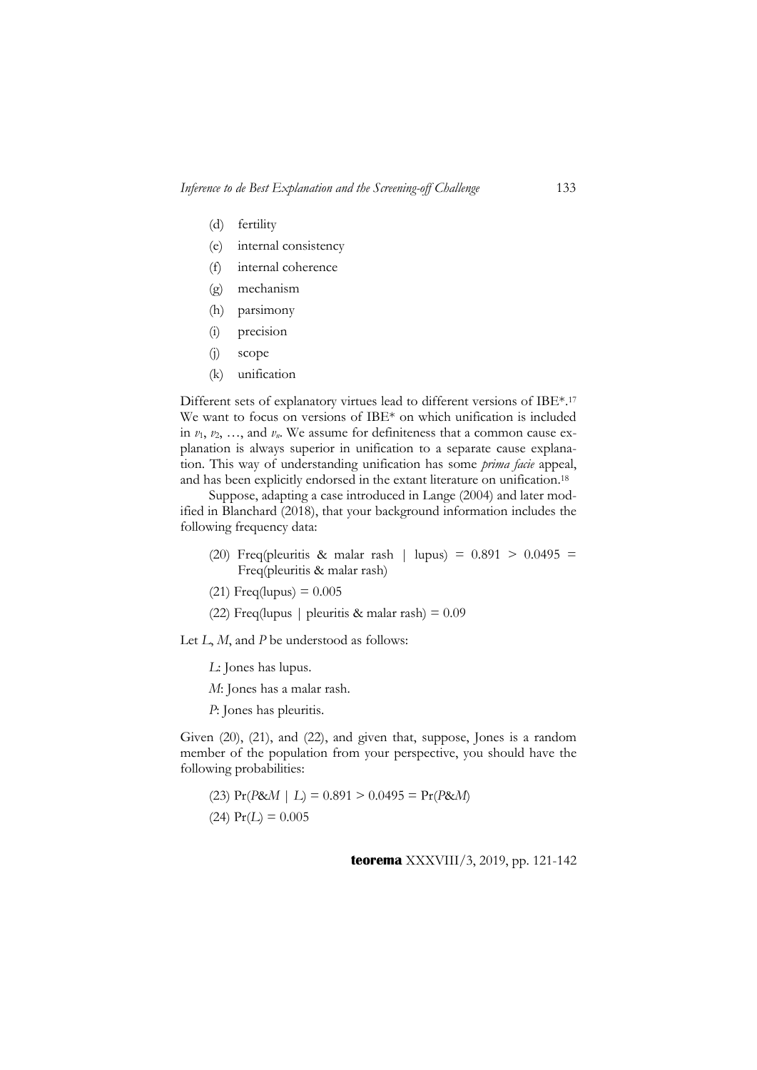- (d) fertility
- (e) internal consistency
- (f) internal coherence
- (g) mechanism
- (h) parsimony
- (i) precision
- (j) scope
- (k) unification

Different sets of explanatory virtues lead to different versions of IBE\*.<sup>17</sup> We want to focus on versions of IBE\* on which unification is included in  $v_1, v_2, \ldots$ , and  $v_n$ . We assume for definiteness that a common cause explanation is always superior in unification to a separate cause explanation. This way of understanding unification has some *prima facie* appeal, and has been explicitly endorsed in the extant literature on unification.<sup>18</sup>

Suppose, adapting a case introduced in Lange (2004) and later modified in Blanchard (2018), that your background information includes the following frequency data:

- (20) Freq(pleuritis & malar rash | lupus) =  $0.891 > 0.0495$  = Freq(pleuritis & malar rash)
- (21) Freq(lupus) =  $0.005$
- (22) Freq(lupus | pleuritis & malar rash) =  $0.09$

Let *L*, *M*, and *P* be understood as follows:

*L*: Jones has lupus.

*M*: Jones has a malar rash.

*P*: Jones has pleuritis.

Given (20), (21), and (22), and given that, suppose, Jones is a random member of the population from your perspective, you should have the following probabilities:

 $(23)$   $Pr(P\&M \mid L) = 0.891 > 0.0495 = Pr(P\&M)$  $(24)$  Pr(*L*) = 0.005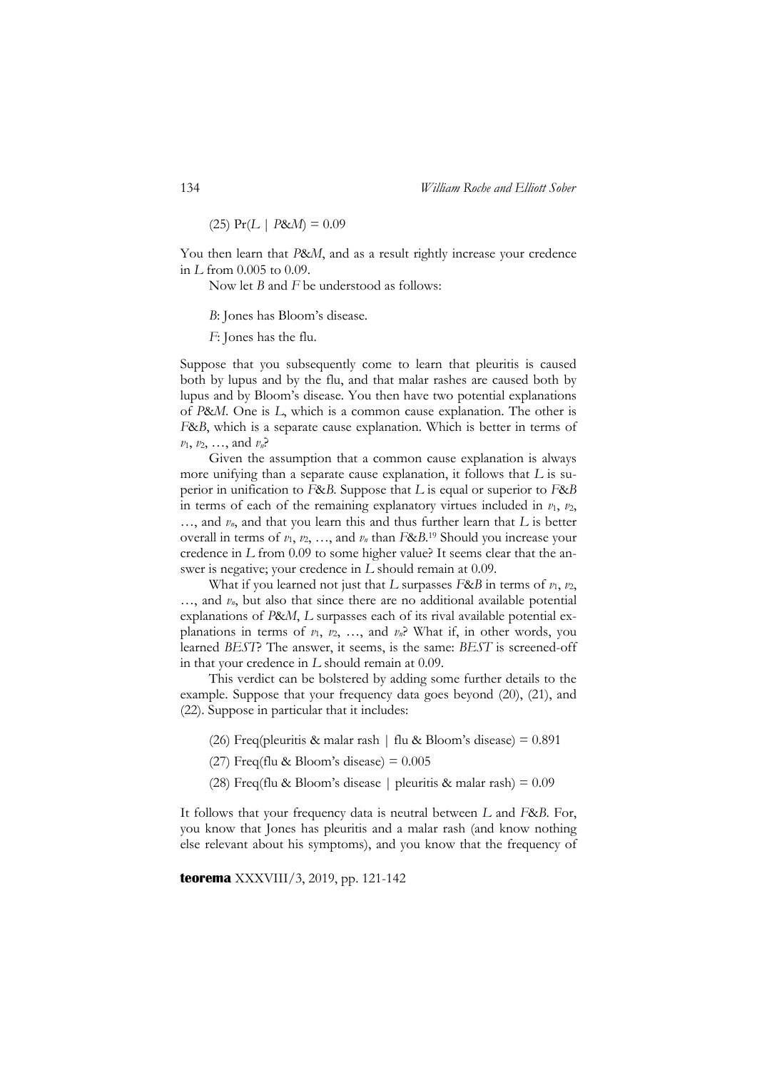$(25)$  Pr(*L* | *P&M*) = 0.09

You then learn that *P*&*M*, and as a result rightly increase your credence in *L* from 0.005 to 0.09.

Now let *B* and *F* be understood as follows:

*B*: Jones has Bloom's disease.

*F*: Jones has the flu.

Suppose that you subsequently come to learn that pleuritis is caused both by lupus and by the flu, and that malar rashes are caused both by lupus and by Bloom's disease. You then have two potential explanations of *P*&*M*. One is *L*, which is a common cause explanation. The other is *F*&*B*, which is a separate cause explanation. Which is better in terms of  $v_1, v_2, \ldots,$  and  $v_n$ ?

Given the assumption that a common cause explanation is always more unifying than a separate cause explanation, it follows that *L* is superior in unification to *F*&*B*. Suppose that *L* is equal or superior to *F*&*B* in terms of each of the remaining explanatory virtues included in  $v_1$ ,  $v_2$ , …, and *vn*, and that you learn this and thus further learn that *L* is better overall in terms of *v*1, *v*2, …, and *v<sup>n</sup>* than *F*&*B*. <sup>19</sup> Should you increase your credence in *L* from 0.09 to some higher value? It seems clear that the answer is negative; your credence in *L* should remain at 0.09.

What if you learned not just that *L* surpasses  $F\&B$  in terms of  $v_1, v_2$ , …, and *vn*, but also that since there are no additional available potential explanations of *P*&*M*, *L* surpasses each of its rival available potential explanations in terms of  $v_1$ ,  $v_2$ , ..., and  $v_n$ ? What if, in other words, you learned *BEST*? The answer, it seems, is the same: *BEST* is screened-off in that your credence in *L* should remain at 0.09.

This verdict can be bolstered by adding some further details to the example. Suppose that your frequency data goes beyond (20), (21), and (22). Suppose in particular that it includes:

- (26) Freq(pleuritis & malar rash | flu & Bloom's disease) =  $0.891$
- (27) Freq(flu & Bloom's disease)  $= 0.005$
- (28) Freq(flu & Bloom's disease | pleuritis & malar rash) =  $0.09$

It follows that your frequency data is neutral between *L* and *F*&*B*. For, you know that Jones has pleuritis and a malar rash (and know nothing else relevant about his symptoms), and you know that the frequency of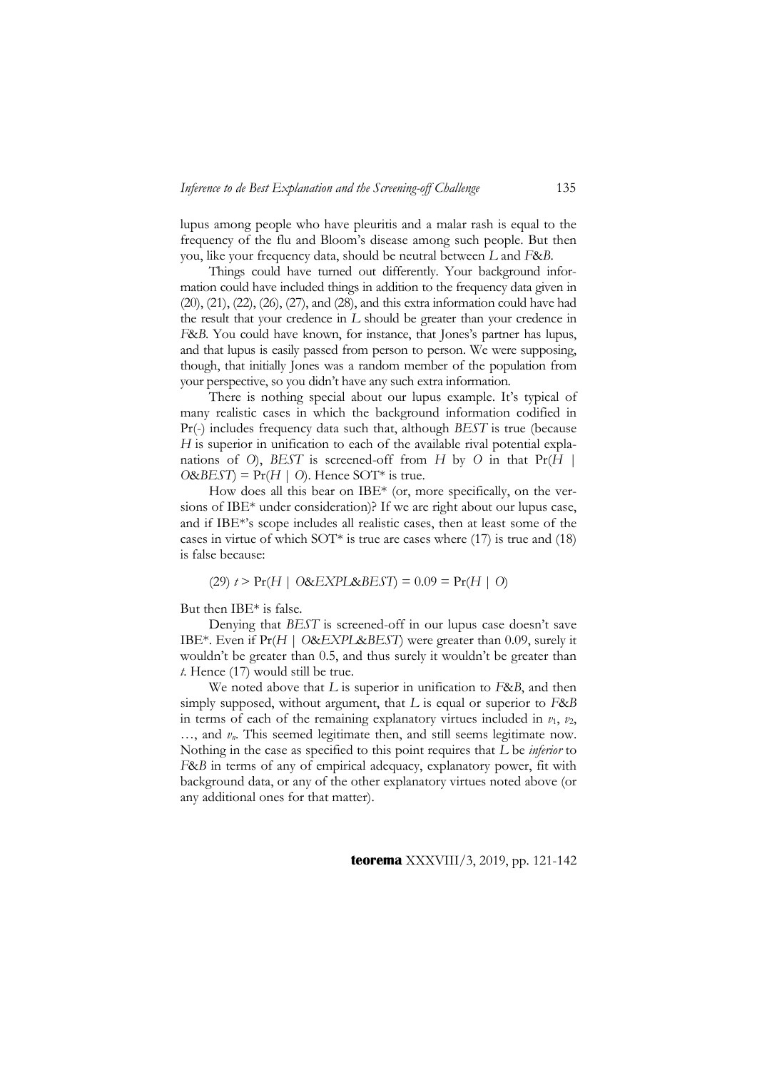lupus among people who have pleuritis and a malar rash is equal to the frequency of the flu and Bloom's disease among such people. But then you, like your frequency data, should be neutral between *L* and *F*&*B*.

Things could have turned out differently. Your background information could have included things in addition to the frequency data given in (20), (21), (22), (26), (27), and (28), and this extra information could have had the result that your credence in *L* should be greater than your credence in *F*&*B*. You could have known, for instance, that Jones's partner has lupus, and that lupus is easily passed from person to person. We were supposing, though, that initially Jones was a random member of the population from your perspective, so you didn't have any such extra information.

There is nothing special about our lupus example. It's typical of many realistic cases in which the background information codified in Pr(-) includes frequency data such that, although *BEST* is true (because *H* is superior in unification to each of the available rival potential explanations of *O*), *BEST* is screened-off from *H* by *O* in that  $Pr(H |$  $O\&BEST$  =  $Pr(H | O)$ . Hence SOT<sup>\*</sup> is true.

How does all this bear on IBE\* (or, more specifically, on the versions of IBE\* under consideration)? If we are right about our lupus case, and if IBE\*'s scope includes all realistic cases, then at least some of the cases in virtue of which SOT $*$  is true are cases where (17) is true and (18) is false because:

 $(29)$   $t > Pr(H | O\&EXPL\&BEST) = 0.09 = Pr(H | O)$ 

But then IBE\* is false.

Denying that *BEST* is screened-off in our lupus case doesn't save IBE\*. Even if Pr(*H* | *O*&*EXPL*&*BEST*) were greater than 0.09, surely it wouldn't be greater than 0.5, and thus surely it wouldn't be greater than *t*. Hence (17) would still be true.

We noted above that *L* is superior in unification to *F*&*B*, and then simply supposed, without argument, that *L* is equal or superior to *F*&*B* in terms of each of the remaining explanatory virtues included in  $v_1$ ,  $v_2$ , …, and *vn*. This seemed legitimate then, and still seems legitimate now. Nothing in the case as specified to this point requires that *L* be *inferior* to *F*&*B* in terms of any of empirical adequacy, explanatory power, fit with background data, or any of the other explanatory virtues noted above (or any additional ones for that matter).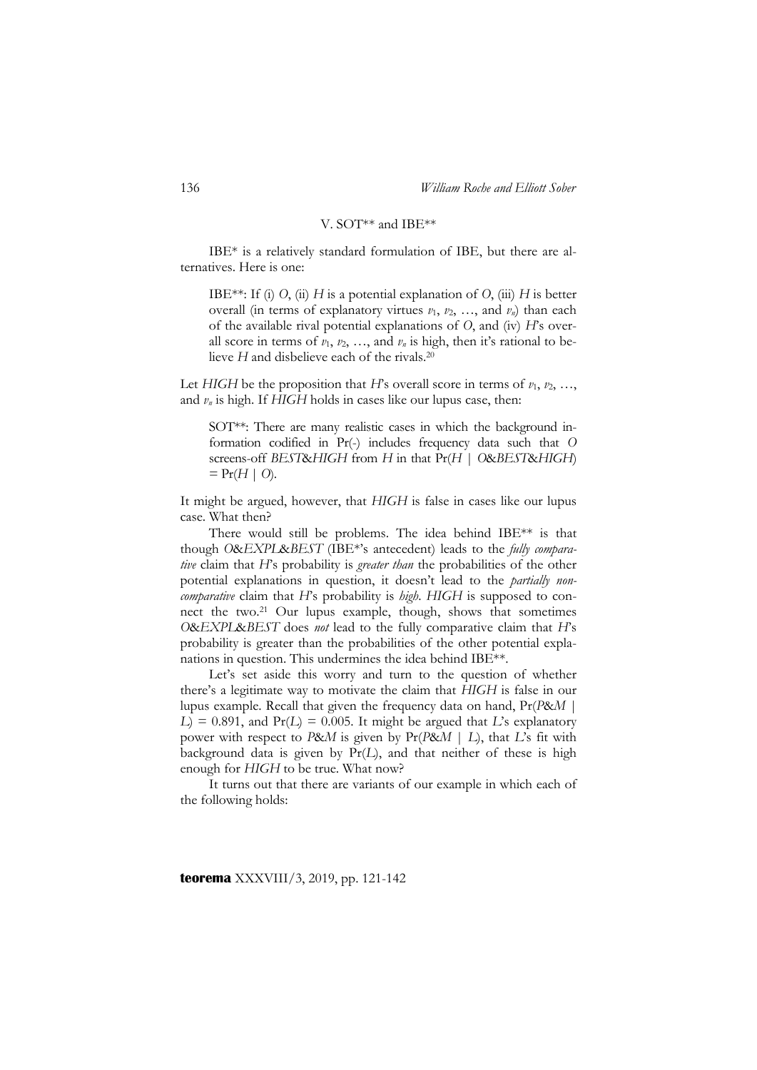V. SOT\*\* and IBE\*\*

IBE\* is a relatively standard formulation of IBE, but there are alternatives. Here is one:

IBE\*\*: If (i)  $O$ , (ii)  $H$  is a potential explanation of  $O$ , (iii)  $H$  is better overall (in terms of explanatory virtues  $v_1, v_2, \ldots$ , and  $v_n$ ) than each of the available rival potential explanations of *O*, and (iv) *H*'s overall score in terms of  $v_1$ ,  $v_2$ , ..., and  $v_n$  is high, then it's rational to believe *H* and disbelieve each of the rivals. 20

Let *HIGH* be the proposition that *H*'s overall score in terms of  $v_1, v_2, \ldots$ , and  $v_n$  is high. If *HIGH* holds in cases like our lupus case, then:

SOT\*\*: There are many realistic cases in which the background information codified in Pr(-) includes frequency data such that *O* screens-off *BEST*&*HIGH* from *H* in that Pr(*H* | *O*&*BEST*&*HIGH*)  $=$  Pr(*H* | O).

It might be argued, however, that *HIGH* is false in cases like our lupus case. What then?

There would still be problems. The idea behind IBE\*\* is that though *O*&*EXPL*&*BEST* (IBE\*'s antecedent) leads to the *fully comparative* claim that *H*'s probability is *greater than* the probabilities of the other potential explanations in question, it doesn't lead to the *partially noncomparative* claim that *H*'s probability is *high*. *HIGH* is supposed to connect the two. <sup>21</sup> Our lupus example, though, shows that sometimes *O*&*EXPL*&*BEST* does *not* lead to the fully comparative claim that *H*'s probability is greater than the probabilities of the other potential explanations in question. This undermines the idea behind IBE\*\*.

Let's set aside this worry and turn to the question of whether there's a legitimate way to motivate the claim that *HIGH* is false in our lupus example. Recall that given the frequency data on hand, Pr(*P*&*M* |  $L = 0.891$ , and  $Pr(L) = 0.005$ . It might be argued that *L*'s explanatory power with respect to *P*&*M* is given by Pr(*P*&*M* | *L*), that *L*'s fit with background data is given by  $Pr(L)$ , and that neither of these is high enough for *HIGH* to be true. What now?

It turns out that there are variants of our example in which each of the following holds: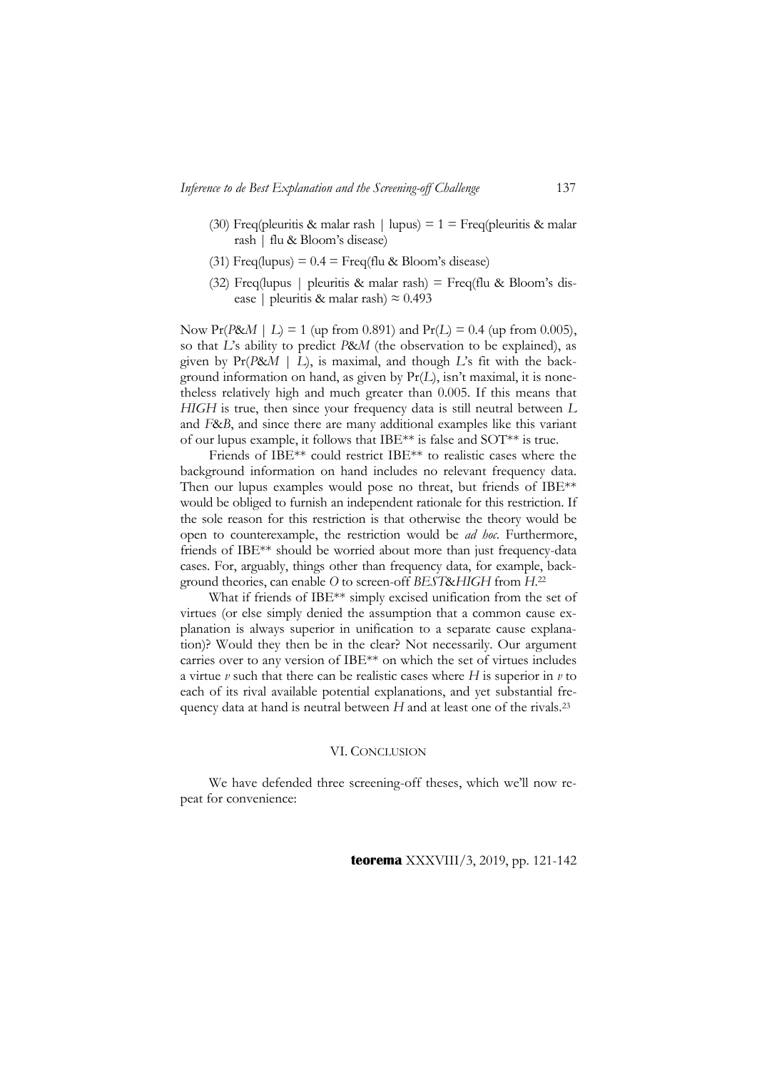- (30) Freq(pleuritis & malar rash | lupus) =  $1 = \text{Freq}(pleurities \& malar)$ rash | flu & Bloom's disease)
- (31) Freq(lupus) =  $0.4$  = Freq(flu & Bloom's disease)
- (32) Freq(lupus | pleuritis & malar rash) = Freq(flu & Bloom's disease | pleuritis & malar rash)  $\approx 0.493$

Now  $Pr(P\&M \mid L) = 1$  (up from 0.891) and  $Pr(L) = 0.4$  (up from 0.005), so that *L*'s ability to predict *P*&*M* (the observation to be explained), as given by  $Pr(P\&M \mid L)$ , is maximal, and though *L*'s fit with the background information on hand, as given by Pr(*L*), isn't maximal, it is nonetheless relatively high and much greater than 0.005. If this means that *HIGH* is true, then since your frequency data is still neutral between *L* and *F*&*B*, and since there are many additional examples like this variant of our lupus example, it follows that IBE\*\* is false and SOT\*\* is true.

Friends of IBE\*\* could restrict IBE\*\* to realistic cases where the background information on hand includes no relevant frequency data. Then our lupus examples would pose no threat, but friends of IBE\*\* would be obliged to furnish an independent rationale for this restriction. If the sole reason for this restriction is that otherwise the theory would be open to counterexample, the restriction would be *ad hoc*. Furthermore, friends of IBE\*\* should be worried about more than just frequency-data cases. For, arguably, things other than frequency data, for example, background theories, can enable *O* to screen-off *BEST*&*HIGH* from *H*. 22

What if friends of IBE\*\* simply excised unification from the set of virtues (or else simply denied the assumption that a common cause explanation is always superior in unification to a separate cause explanation)? Would they then be in the clear? Not necessarily. Our argument carries over to any version of IBE\*\* on which the set of virtues includes a virtue *v* such that there can be realistic cases where *H* is superior in *v* to each of its rival available potential explanations, and yet substantial frequency data at hand is neutral between *H* and at least one of the rivals.<sup>23</sup>

### VI. CONCLUSION

We have defended three screening-off theses, which we'll now repeat for convenience: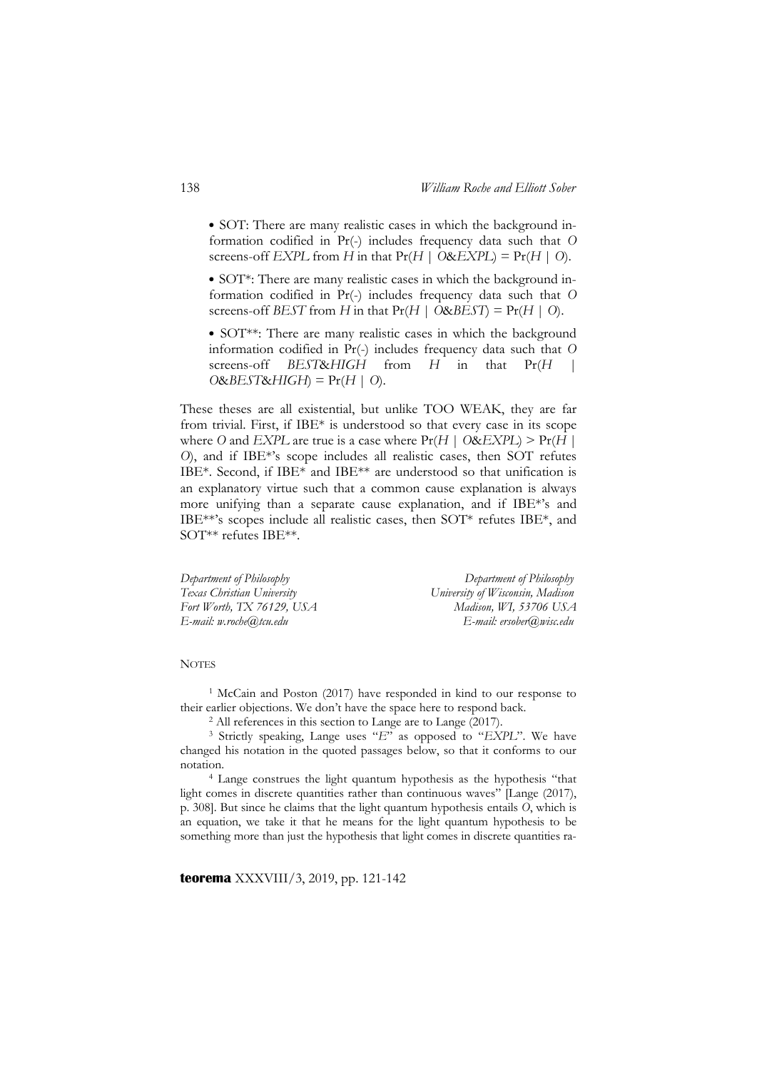• SOT: There are many realistic cases in which the background information codified in Pr(-) includes frequency data such that *O* screens-off *EXPL* from *H* in that  $Pr(H | O\& EXPL) = Pr(H | O)$ .

• SOT\*: There are many realistic cases in which the background information codified in Pr(-) includes frequency data such that *O* screens-off *BEST* from *H* in that  $Pr(H | O\&BET) = Pr(H | O)$ .

• SOT<sup>\*\*</sup>: There are many realistic cases in which the background information codified in Pr(-) includes frequency data such that *O* screens-off *BEST*&*HIGH* from *H* in that Pr(*H* | *O*&*BEST*&*HIGH*) = Pr(*H* | *O*).

These theses are all existential, but unlike TOO WEAK, they are far from trivial. First, if IBE\* is understood so that every case in its scope where *O* and *EXPL* are true is a case where  $Pr(H | O\& EXPL) > Pr(H |$ *O*), and if IBE\*'s scope includes all realistic cases, then SOT refutes IBE\*. Second, if IBE\* and IBE\*\* are understood so that unification is an explanatory virtue such that a common cause explanation is always more unifying than a separate cause explanation, and if IBE\*'s and IBE\*\*'s scopes include all realistic cases, then SOT\* refutes IBE\*, and SOT\*\* refutes IBE\*\*.

| Department of Philosophy   | Department of Philosophy         |
|----------------------------|----------------------------------|
| Texas Christian University | University of Wisconsin, Madison |
| Fort Worth, TX 76129, USA  | Madison, WI, 53706 USA           |
| E-mail: w.roche@tcu.edu    | E-mail: ersober@wisc.edu         |

#### **NOTES**

<sup>1</sup> McCain and Poston (2017) have responded in kind to our response to their earlier objections. We don't have the space here to respond back.

<sup>2</sup> All references in this section to Lange are to Lange (2017).

<sup>3</sup> Strictly speaking, Lange uses "*E*" as opposed to "*EXPL*". We have changed his notation in the quoted passages below, so that it conforms to our notation.

<sup>4</sup> Lange construes the light quantum hypothesis as the hypothesis "that light comes in discrete quantities rather than continuous waves" [Lange (2017), p. 308]. But since he claims that the light quantum hypothesis entails *O*, which is an equation, we take it that he means for the light quantum hypothesis to be something more than just the hypothesis that light comes in discrete quantities ra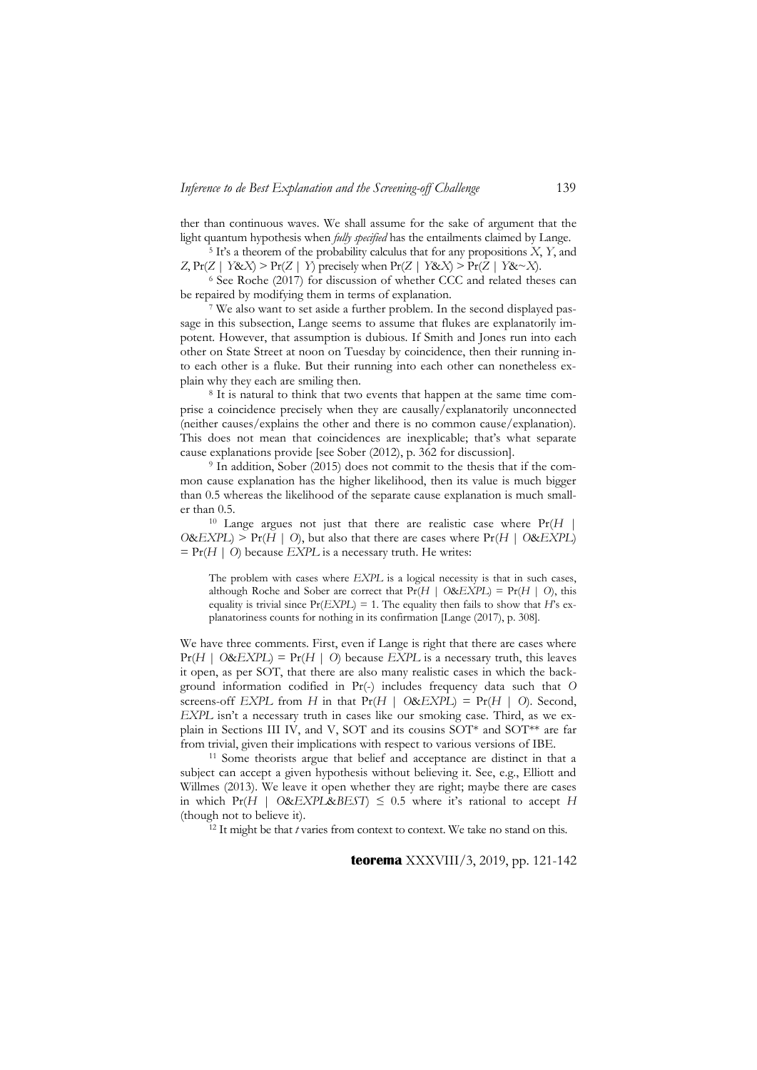ther than continuous waves. We shall assume for the sake of argument that the light quantum hypothesis when *fully specified* has the entailments claimed by Lange.

<sup>5</sup> It's a theorem of the probability calculus that for any propositions *X*, *Y*, and *Z*,  $Pr(Z \mid Y \& X)$  >  $Pr(Z \mid Y)$  precisely when  $Pr(Z \mid Y \& X)$  >  $Pr(Z \mid Y \& X)$ .

<sup>6</sup> See Roche (2017) for discussion of whether CCC and related theses can be repaired by modifying them in terms of explanation.

<sup>7</sup> We also want to set aside a further problem. In the second displayed passage in this subsection, Lange seems to assume that flukes are explanatorily impotent. However, that assumption is dubious. If Smith and Jones run into each other on State Street at noon on Tuesday by coincidence, then their running into each other is a fluke. But their running into each other can nonetheless explain why they each are smiling then.

<sup>8</sup> It is natural to think that two events that happen at the same time comprise a coincidence precisely when they are causally/explanatorily unconnected (neither causes/explains the other and there is no common cause/explanation). This does not mean that coincidences are inexplicable; that's what separate cause explanations provide [see Sober (2012), p. 362 for discussion].

<sup>9</sup> In addition, Sober (2015) does not commit to the thesis that if the common cause explanation has the higher likelihood, then its value is much bigger than 0.5 whereas the likelihood of the separate cause explanation is much smaller than 0.5.

<sup>10</sup> Lange argues not just that there are realistic case where Pr(*H* |  $O\&EXPL$ ) >  $Pr(H | O)$ , but also that there are cases where  $Pr(H | O\&EXPL)$  $= Pr(H | O)$  because *EXPL* is a necessary truth. He writes:

The problem with cases where *EXPL* is a logical necessity is that in such cases, although Roche and Sober are correct that  $Pr(H | O\& EXPL) = Pr(H | O)$ , this equality is trivial since  $Pr(EXPL) = 1$ . The equality then fails to show that *H*'s explanatoriness counts for nothing in its confirmation [Lange (2017), p. 308].

We have three comments. First, even if Lange is right that there are cases where  $Pr(H \mid O\&EXPL) = Pr(H \mid O)$  because *EXPL* is a necessary truth, this leaves it open, as per SOT, that there are also many realistic cases in which the background information codified in Pr(-) includes frequency data such that *O* screens-off *EXPL* from *H* in that  $Pr(H | O\& EXPL) = Pr(H | O)$ . Second, *EXPL* isn't a necessary truth in cases like our smoking case. Third, as we explain in Sections III IV, and V, SOT and its cousins SOT\* and SOT\*\* are far from trivial, given their implications with respect to various versions of IBE.

<sup>11</sup> Some theorists argue that belief and acceptance are distinct in that a subject can accept a given hypothesis without believing it. See, e.g., Elliott and Willmes (2013). We leave it open whether they are right; maybe there are cases in which  $Pr(H | O\&EXPL\&BEST) \leq 0.5$  where it's rational to accept *H* (though not to believe it).

<sup>12</sup> It might be that *t* varies from context to context. We take no stand on this.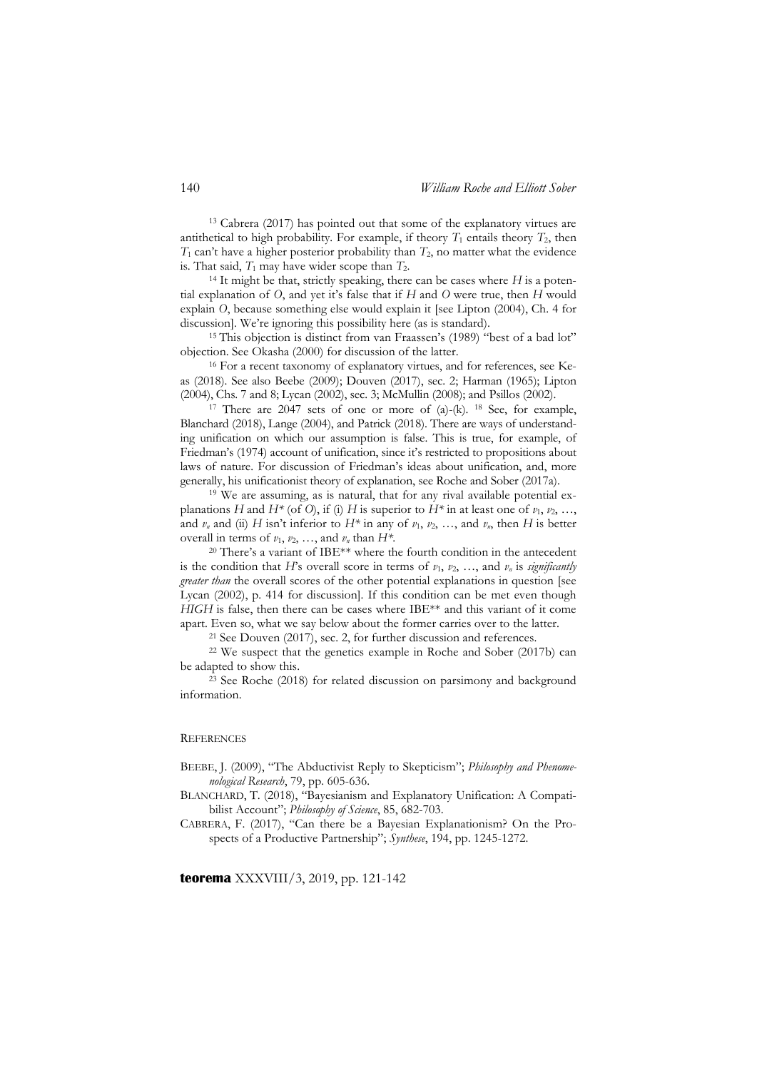<sup>13</sup> Cabrera (2017) has pointed out that some of the explanatory virtues are antithetical to high probability. For example, if theory  $T_1$  entails theory  $T_2$ , then  $T_1$  can't have a higher posterior probability than  $T_2$ , no matter what the evidence is. That said,  $T_1$  may have wider scope than  $T_2$ .

<sup>14</sup> It might be that, strictly speaking, there can be cases where *H* is a potential explanation of *O*, and yet it's false that if *H* and *O* were true, then *H* would explain *O*, because something else would explain it [see Lipton (2004), Ch. 4 for discussion]. We're ignoring this possibility here (as is standard).

<sup>15</sup>This objection is distinct from van Fraassen's (1989) "best of a bad lot" objection. See Okasha (2000) for discussion of the latter.

<sup>16</sup> For a recent taxonomy of explanatory virtues, and for references, see Keas (2018). See also Beebe (2009); Douven (2017), sec. 2; Harman (1965); Lipton (2004), Chs. 7 and 8; Lycan (2002), sec. 3; McMullin (2008); and Psillos (2002).

<sup>17</sup> There are 2047 sets of one or more of  $(a)-(k)$ . <sup>18</sup> See, for example, Blanchard (2018), Lange (2004), and Patrick (2018). There are ways of understanding unification on which our assumption is false. This is true, for example, of Friedman's (1974) account of unification, since it's restricted to propositions about laws of nature. For discussion of Friedman's ideas about unification, and, more generally, his unificationist theory of explanation, see Roche and Sober (2017a).

<sup>19</sup> We are assuming, as is natural, that for any rival available potential explanations *H* and *H*<sup>\*</sup> (of *O*), if (i) *H* is superior to *H*<sup>\*</sup> in at least one of  $v_1, v_2, ...,$ and  $v_n$  and (ii) *H* isn't inferior to  $H^*$  in any of  $v_1$ ,  $v_2$ , ..., and  $v_n$ , then *H* is better overall in terms of  $v_1$ ,  $v_2$ , ..., and  $v_n$  than  $H^*$ .

<sup>20</sup> There's a variant of IBE\*\* where the fourth condition in the antecedent is the condition that *H*'s overall score in terms of  $v_1$ ,  $v_2$ , ..., and  $v_n$  is *significantly greater than* the overall scores of the other potential explanations in question [see Lycan (2002), p. 414 for discussion]. If this condition can be met even though *HIGH* is false, then there can be cases where IBE\*\* and this variant of it come apart. Even so, what we say below about the former carries over to the latter.

<sup>21</sup> See Douven (2017), sec. 2, for further discussion and references.

<sup>22</sup> We suspect that the genetics example in Roche and Sober (2017b) can be adapted to show this.

<sup>23</sup> See Roche (2018) for related discussion on parsimony and background information.

#### **REFERENCES**

BEEBE, J. (2009), "The Abductivist Reply to Skepticism"; *Philosophy and Phenomenological Research*, 79, pp. 605-636.

- BLANCHARD, T. (2018), "Bayesianism and Explanatory Unification: A Compatibilist Account"; *Philosophy of Science*, 85, 682-703.
- CABRERA, F. (2017), "Can there be a Bayesian Explanationism? On the Prospects of a Productive Partnership"; *Synthese*, 194, pp. 1245-1272.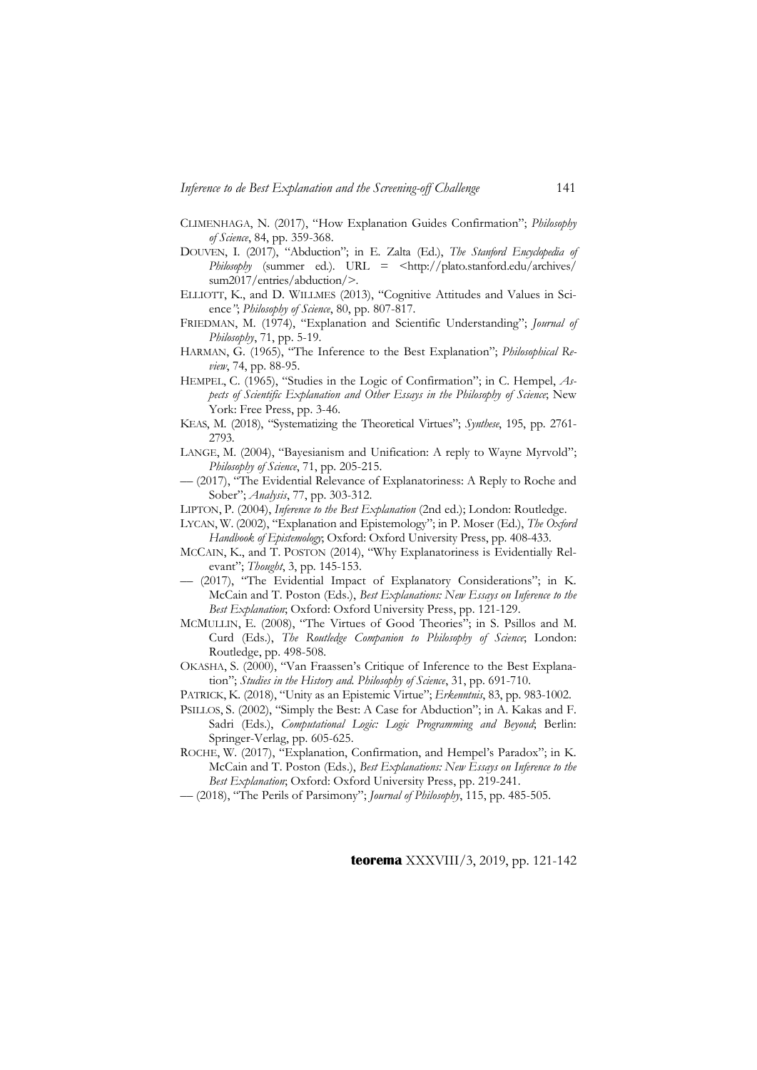- CLIMENHAGA, N. (2017), "How Explanation Guides Confirmation"; *Philosophy of Science*, 84, pp. 359-368.
- DOUVEN, I. (2017), "Abduction"; in E. Zalta (Ed.), *The Stanford Encyclopedia of*  Philosophy (summer ed.). URL = <http://plato.stanford.edu/archives/ sum2017/entries/abduction/>.
- ELLIOTT, K., and D. WILLMES (2013), "Cognitive Attitudes and Values in Science*"*; *Philosophy of Science*, 80, pp. 807-817.
- FRIEDMAN, M. (1974), "Explanation and Scientific Understanding"; *Journal of Philosophy*, 71, pp. 5-19.
- HARMAN, G. (1965), "The Inference to the Best Explanation"; *Philosophical Review*, 74, pp. 88-95.
- HEMPEL, C. (1965), "Studies in the Logic of Confirmation"; in C. Hempel, *Aspects of Scientific Explanation and Other Essays in the Philosophy of Science*; New York: Free Press, pp. 3-46.
- KEAS, M. (2018), "Systematizing the Theoretical Virtues"; *Synthese*, 195, pp. 2761- 2793.
- LANGE, M. (2004), "Bayesianism and Unification: A reply to Wayne Myrvold"; *Philosophy of Science*, 71, pp. 205-215.
- –– (2017), "The Evidential Relevance of Explanatoriness: A Reply to Roche and Sober"; *Analysis*, 77, pp. 303-312.
- LIPTON, P. (2004), *Inference to the Best Explanation* (2nd ed.); London: Routledge.
- LYCAN, W. (2002), "Explanation and Epistemology"; in P. Moser (Ed.), *The Oxford Handbook of Epistemology*; Oxford: Oxford University Press, pp. 408-433.
- MCCAIN, K., and T. POSTON (2014), "Why Explanatoriness is Evidentially Relevant"; *Thought*, 3, pp. 145-153.
- –– (2017), "The Evidential Impact of Explanatory Considerations"; in K. McCain and T. Poston (Eds.), *Best Explanations: New Essays on Inference to the Best Explanation*; Oxford: Oxford University Press, pp. 121-129.
- MCMULLIN, E. (2008), "The Virtues of Good Theories"; in S. Psillos and M. Curd (Eds.), *The Routledge Companion to Philosophy of Science*; London: Routledge, pp. 498-508.
- OKASHA, S. (2000), "Van Fraassen's Critique of Inference to the Best Explanation"; *Studies in the History and. Philosophy of Science*, 31, pp. 691-710.
- PATRICK, K. (2018), "Unity as an Epistemic Virtue"; *Erkenntnis*, 83, pp. 983-1002.
- PSILLOS, S. (2002), "Simply the Best: A Case for Abduction"; in A. Kakas and F. Sadri (Eds.), *Computational Logic: Logic Programming and Beyond*; Berlin: Springer-Verlag, pp. 605-625.
- ROCHE, W. (2017), "Explanation, Confirmation, and Hempel's Paradox"; in K. McCain and T. Poston (Eds.), *Best Explanations: New Essays on Inference to the Best Explanation*; Oxford: Oxford University Press, pp. 219-241.
- –– (2018), "The Perils of Parsimony"; *Journal of Philosophy*, 115, pp. 485-505.